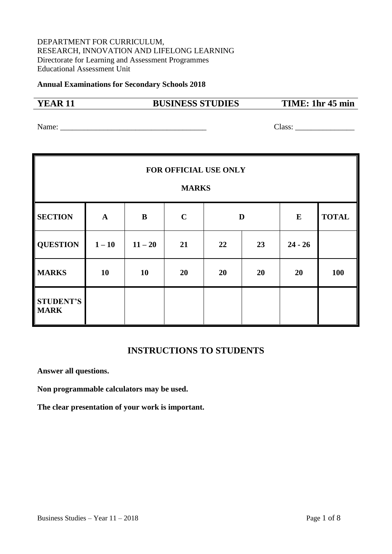#### DEPARTMENT FOR CURRICULUM, RESEARCH, INNOVATION AND LIFELONG LEARNING Directorate for Learning and Assessment Programmes Educational Assessment Unit

**Annual Examinations for Secondary Schools 2018** 

# **YEAR 11 BUSINESS STUDIES TIME: 1hr 45 min**

Name: \_\_\_\_\_\_\_\_\_\_\_\_\_\_\_\_\_\_\_\_\_\_\_\_\_\_\_\_\_\_\_\_\_\_\_\_\_ Class: \_\_\_\_\_\_\_\_\_\_\_\_\_\_\_

| FOR OFFICIAL USE ONLY<br><b>MARKS</b> |              |           |             |    |    |           |              |
|---------------------------------------|--------------|-----------|-------------|----|----|-----------|--------------|
| <b>SECTION</b>                        | $\mathbf{A}$ | $\bf{B}$  | $\mathbf C$ |    | D  | $\bf{E}$  | <b>TOTAL</b> |
| <b>QUESTION</b>                       | $1 - 10$     | $11 - 20$ | 21          | 22 | 23 | $24 - 26$ |              |
| <b>MARKS</b>                          | 10           | 10        | 20          | 20 | 20 | 20        | 100          |
| <b>STUDENT'S</b><br><b>MARK</b>       |              |           |             |    |    |           |              |

# **INSTRUCTIONS TO STUDENTS**

**Answer all questions.**

**Non programmable calculators may be used.**

**The clear presentation of your work is important.**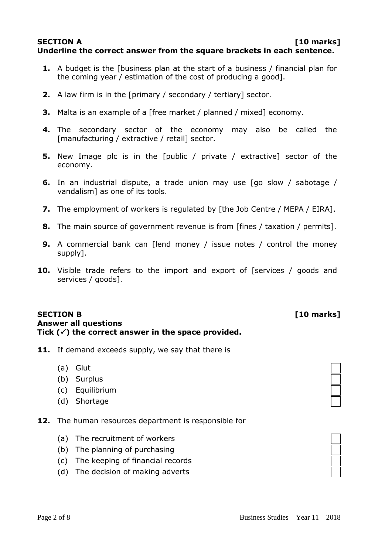# **SECTION A [10 marks] Underline the correct answer from the square brackets in each sentence.**

- **1.** A budget is the [business plan at the start of a business / financial plan for the coming year / estimation of the cost of producing a good].
- **2.** A law firm is in the [primary / secondary / tertiary] sector.
- **3.** Malta is an example of a [free market / planned / mixed] economy.
- **4.** The secondary sector of the economy may also be called the [manufacturing / extractive / retail] sector.
- **5.** New Image plc is in the [public / private / extractive] sector of the economy.
- **6.** In an industrial dispute, a trade union may use [go slow / sabotage / vandalism] as one of its tools.
- **7.** The employment of workers is regulated by [the Job Centre / MEPA / EIRA].
- **8.** The main source of government revenue is from [fines / taxation / permits].
- **9.** A commercial bank can [lend money / issue notes / control the money supply].
- **10.** Visible trade refers to the import and export of [services / goods and services / goods].

## **SECTION B [10 marks] Answer all questions Tick () the correct answer in the space provided.**

- 11. If demand exceeds supply, we say that there is
	- (a) Glut
	- (b) Surplus
	- (c) Equilibrium
	- (d) Shortage
- **12.** The human resources department is responsible for
	- (a) The recruitment of workers
	- (b) The planning of purchasing
	- (c) The keeping of financial records
	- (d) The decision of making adverts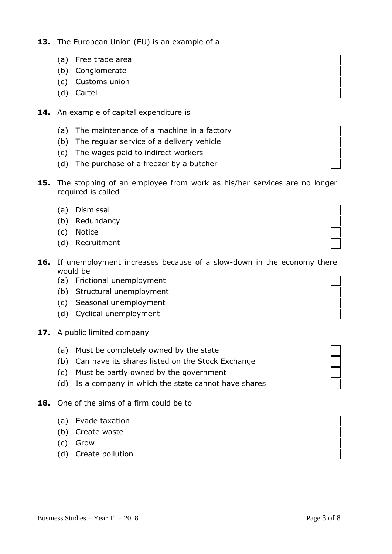- **13.** The European Union (EU) is an example of a
	- (a) Free trade area
	- (b) Conglomerate
	- (c) Customs union
	- (d) Cartel
- 14. An example of capital expenditure is
	- (a) The maintenance of a machine in a factory
	- (b) The regular service of a delivery vehicle
	- (c) The wages paid to indirect workers
	- (d) The purchase of a freezer by a butcher
- **15.** The stopping of an employee from work as his/her services are no longer required is called
	- (a) Dismissal
	- (b) Redundancy
	- (c) Notice
	- (d) Recruitment
- **16.** If unemployment increases because of a slow-down in the economy there would be
	- (a) Frictional unemployment
	- (b) Structural unemployment
	- (c) Seasonal unemployment
	- (d) Cyclical unemployment
- **17.** A public limited company
	- (a) Must be completely owned by the state
	- (b) Can have its shares listed on the Stock Exchange
	- (c) Must be partly owned by the government
	- (d) Is a company in which the state cannot have shares
- **18.** One of the aims of a firm could be to
	- (a) Evade taxation
	- (b) Create waste
	- (c) Grow
	- (d) Create pollution

 $\Box$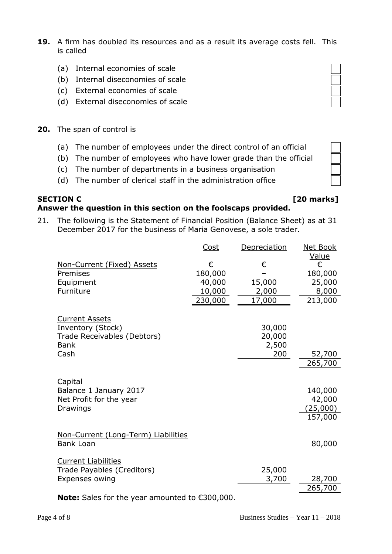- **19.** A firm has doubled its resources and as a result its average costs fell. This is called
	- (a) Internal economies of scale
	- (b) Internal diseconomies of scale
	- (c) External economies of scale
	- (d) External diseconomies of scale
- **20.** The span of control is
	- (a) The number of employees under the direct control of an official
	- (b) The number of employees who have lower grade than the official
	- (c) The number of departments in a business organisation
	- (d) The number of clerical staff in the administration office

#### **SECTION C** [20 **marks**] **Answer the question in this section on the foolscaps provided.**

21. The following is the Statement of Financial Position (Balance Sheet) as at 31 December 2017 for the business of Maria Genovese, a sole trader.

|                                                                 | Cost    | Depreciation | <b>Net Book</b><br>Value |
|-----------------------------------------------------------------|---------|--------------|--------------------------|
| Non-Current (Fixed) Assets                                      | €       | €            | €                        |
| Premises                                                        | 180,000 |              | 180,000                  |
| Equipment                                                       | 40,000  | 15,000       | 25,000                   |
| Furniture                                                       | 10,000  | 2,000        | 8,000                    |
|                                                                 | 230,000 | 17,000       | 213,000                  |
|                                                                 |         |              |                          |
| <b>Current Assets</b>                                           |         |              |                          |
| Inventory (Stock)                                               |         | 30,000       |                          |
| Trade Receivables (Debtors)                                     |         | 20,000       |                          |
| <b>Bank</b>                                                     |         | 2,500        |                          |
| Cash                                                            |         | 200          | 52,700                   |
|                                                                 |         |              | 265,700                  |
| Capital                                                         |         |              |                          |
| Balance 1 January 2017                                          |         |              | 140,000                  |
| Net Profit for the year                                         |         |              | 42,000                   |
| Drawings                                                        |         |              | (25,000)                 |
|                                                                 |         |              | 157,000                  |
|                                                                 |         |              |                          |
| Non-Current (Long-Term) Liabilities                             |         |              |                          |
| <b>Bank Loan</b>                                                |         |              | 80,000                   |
|                                                                 |         |              |                          |
| <b>Current Liabilities</b>                                      |         |              |                          |
| Trade Payables (Creditors)                                      |         | 25,000       |                          |
| <b>Expenses owing</b>                                           |         | 3,700        | 28,700<br>265,700        |
| <b>Note:</b> Sales for the year amounted to $\epsilon$ 300,000. |         |              |                          |
|                                                                 |         |              |                          |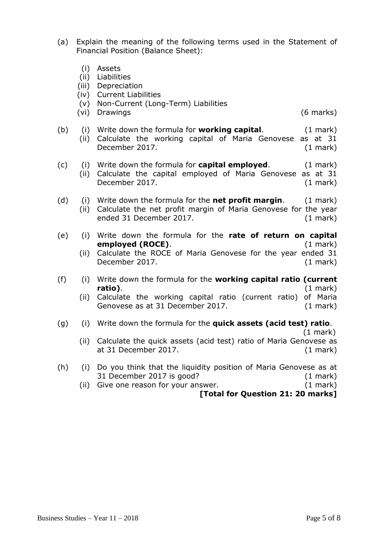(a) Explain the meaning of the following terms used in the Statement of Financial Position (Balance Sheet):

|     | (i)<br>(ii)<br>(iii)<br>(iv)<br>(v)<br>(vi) | Assets<br>Liabilities<br>Depreciation<br><b>Current Liabilities</b><br>Non-Current (Long-Term) Liabilities<br><b>Drawings</b><br>$(6 \text{ marks})$                                                                   |
|-----|---------------------------------------------|------------------------------------------------------------------------------------------------------------------------------------------------------------------------------------------------------------------------|
| (b) | (i)<br>(ii)                                 | Write down the formula for working capital.<br>$(1 \text{ mark})$<br>Calculate the working capital of Maria Genovese<br>as at $31$<br>December 2017.<br>$(1 \text{ mark})$                                             |
| (c) | (i)<br>(ii)                                 | Write down the formula for capital employed.<br>$(1 \text{ mark})$<br>Calculate the capital employed of Maria Genovese as at 31<br>December 2017.<br>$(1 \text{ mark})$                                                |
| (d) | (i)<br>(ii)                                 | Write down the formula for the net profit margin.<br>$(1$ mark $)$<br>Calculate the net profit margin of Maria Genovese for the year<br>ended 31 December 2017.<br>(1 mark)                                            |
| (e) | (i)<br>(ii)                                 | Write down the formula for the rate of return on capital<br>employed (ROCE).<br>(1 mark)<br>Calculate the ROCE of Maria Genovese for the year ended 31<br>December 2017.<br>$(1 \text{ mark})$                         |
| (f) | (i)<br>(iii)                                | Write down the formula for the working capital ratio (current<br>ratio).<br>$(1 \text{ mark})$<br>Calculate the working capital ratio (current ratio)<br>of Maria<br>Genovese as at 31 December 2017.<br>$(1$ mark $)$ |
| (g) | (i)                                         | Write down the formula for the quick assets (acid test) ratio.<br>$(1 \text{ mark})$                                                                                                                                   |
|     | (ii)                                        | Calculate the quick assets (acid test) ratio of Maria Genovese as<br>at 31 December 2017.<br>$(1 \text{ mark})$                                                                                                        |
| (h) | (i)                                         | Do you think that the liquidity position of Maria Genovese as at                                                                                                                                                       |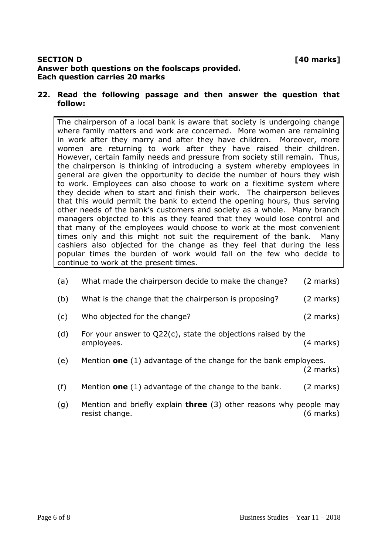#### **SECTION D [40 marks] Answer both questions on the foolscaps provided. Each question carries 20 marks**

**22. Read the following passage and then answer the question that follow:**

The chairperson of a local bank is aware that society is undergoing change where family matters and work are concerned. More women are remaining in work after they marry and after they have children. Moreover, more women are returning to work after they have raised their children. However, certain family needs and pressure from society still remain. Thus, the chairperson is thinking of introducing a system whereby employees in general are given the opportunity to decide the number of hours they wish to work. Employees can also choose to work on a flexitime system where they decide when to start and finish their work. The chairperson believes that this would permit the bank to extend the opening hours, thus serving other needs of the bank's customers and society as a whole. Many branch managers objected to this as they feared that they would lose control and that many of the employees would choose to work at the most convenient times only and this might not suit the requirement of the bank. Many cashiers also objected for the change as they feel that during the less popular times the burden of work would fall on the few who decide to continue to work at the present times.

- (a) What made the chairperson decide to make the change? (2 marks)
- (b) What is the change that the chairperson is proposing? (2 marks)
- (c) Who objected for the change? (2 marks)
- (d) For your answer to Q22(c), state the objections raised by the employees. (4 marks)
- (e) Mention **one** (1) advantage of the change for the bank employees.

(2 marks)

- (f) Mention **one** (1) advantage of the change to the bank. (2 marks)
- (g) Mention and briefly explain **three** (3) other reasons why people may resist change. (6 marks)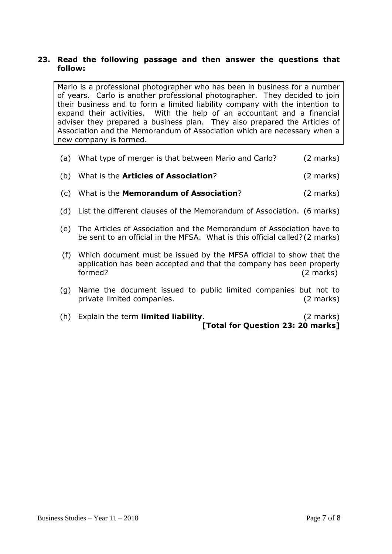#### **23. Read the following passage and then answer the questions that follow:**

Mario is a professional photographer who has been in business for a number of years. Carlo is another professional photographer. They decided to join their business and to form a limited liability company with the intention to expand their activities. With the help of an accountant and a financial adviser they prepared a business plan. They also prepared the Articles of Association and the Memorandum of Association which are necessary when a new company is formed.

| (a) What type of merger is that between Mario and Carlo? | $(2 \text{ marks})$ |
|----------------------------------------------------------|---------------------|
|                                                          |                     |

- (b) What is the **Articles of Association**? (2 marks)
- (c) What is the **Memorandum of Association**? (2 marks)
- (d) List the different clauses of the Memorandum of Association. (6 marks)
- (e) The Articles of Association and the Memorandum of Association have to be sent to an official in the MFSA. What is this official called?(2 marks)
- (f) Which document must be issued by the MFSA official to show that the application has been accepted and that the company has been properly formed? (2 marks)
- (g) Name the document issued to public limited companies but not to private limited companies. (2 marks)
- (h) Explain the term **limited liability**. (2 marks) **[Total for Question 23: 20 marks]**